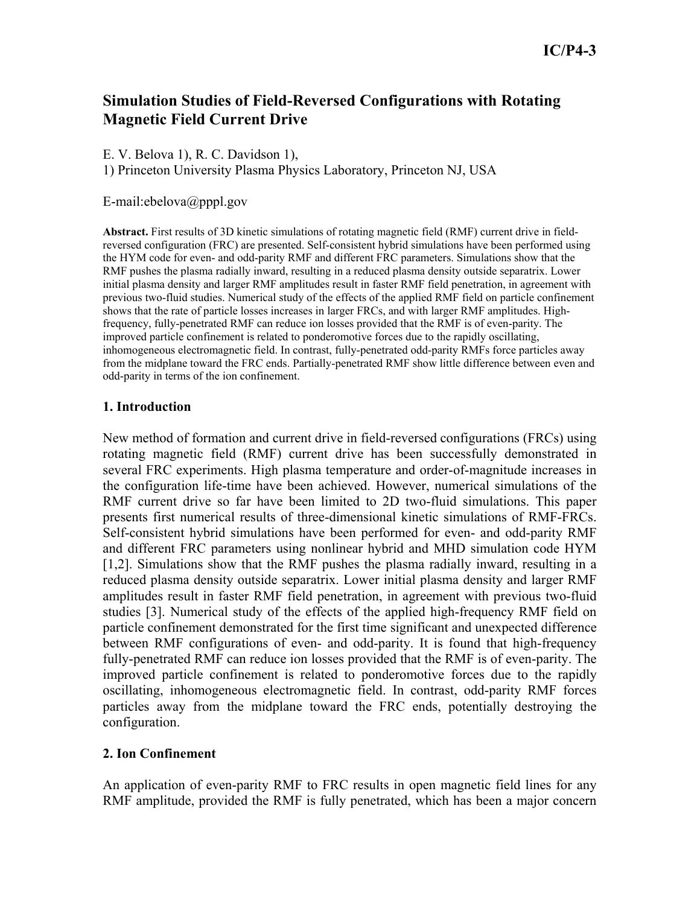# **Simulation Studies of Field-Reversed Configurations with Rotating Magnetic Field Current Drive**

E. V. Belova 1), R. C. Davidson 1),

1) Princeton University Plasma Physics Laboratory, Princeton NJ, USA

### E-mail:ebelova@pppl.gov

**Abstract.** First results of 3D kinetic simulations of rotating magnetic field (RMF) current drive in fieldreversed configuration (FRC) are presented. Self-consistent hybrid simulations have been performed using the HYM code for even- and odd-parity RMF and different FRC parameters. Simulations show that the RMF pushes the plasma radially inward, resulting in a reduced plasma density outside separatrix. Lower initial plasma density and larger RMF amplitudes result in faster RMF field penetration, in agreement with previous two-fluid studies. Numerical study of the effects of the applied RMF field on particle confinement shows that the rate of particle losses increases in larger FRCs, and with larger RMF amplitudes. Highfrequency, fully-penetrated RMF can reduce ion losses provided that the RMF is of even-parity. The improved particle confinement is related to ponderomotive forces due to the rapidly oscillating, inhomogeneous electromagnetic field. In contrast, fully-penetrated odd-parity RMFs force particles away from the midplane toward the FRC ends. Partially-penetrated RMF show little difference between even and odd-parity in terms of the ion confinement.

### **1. Introduction**

New method of formation and current drive in field-reversed configurations (FRCs) using rotating magnetic field (RMF) current drive has been successfully demonstrated in several FRC experiments. High plasma temperature and order-of-magnitude increases in the configuration life-time have been achieved. However, numerical simulations of the RMF current drive so far have been limited to 2D two-fluid simulations. This paper presents first numerical results of three-dimensional kinetic simulations of RMF-FRCs. Self-consistent hybrid simulations have been performed for even- and odd-parity RMF and different FRC parameters using nonlinear hybrid and MHD simulation code HYM [1,2]. Simulations show that the RMF pushes the plasma radially inward, resulting in a reduced plasma density outside separatrix. Lower initial plasma density and larger RMF amplitudes result in faster RMF field penetration, in agreement with previous two-fluid studies [3]. Numerical study of the effects of the applied high-frequency RMF field on particle confinement demonstrated for the first time significant and unexpected difference between RMF configurations of even- and odd-parity. It is found that high-frequency fully-penetrated RMF can reduce ion losses provided that the RMF is of even-parity. The improved particle confinement is related to ponderomotive forces due to the rapidly oscillating, inhomogeneous electromagnetic field. In contrast, odd-parity RMF forces particles away from the midplane toward the FRC ends, potentially destroying the configuration.

# **2. Ion Confinement**

An application of even-parity RMF to FRC results in open magnetic field lines for any RMF amplitude, provided the RMF is fully penetrated, which has been a major concern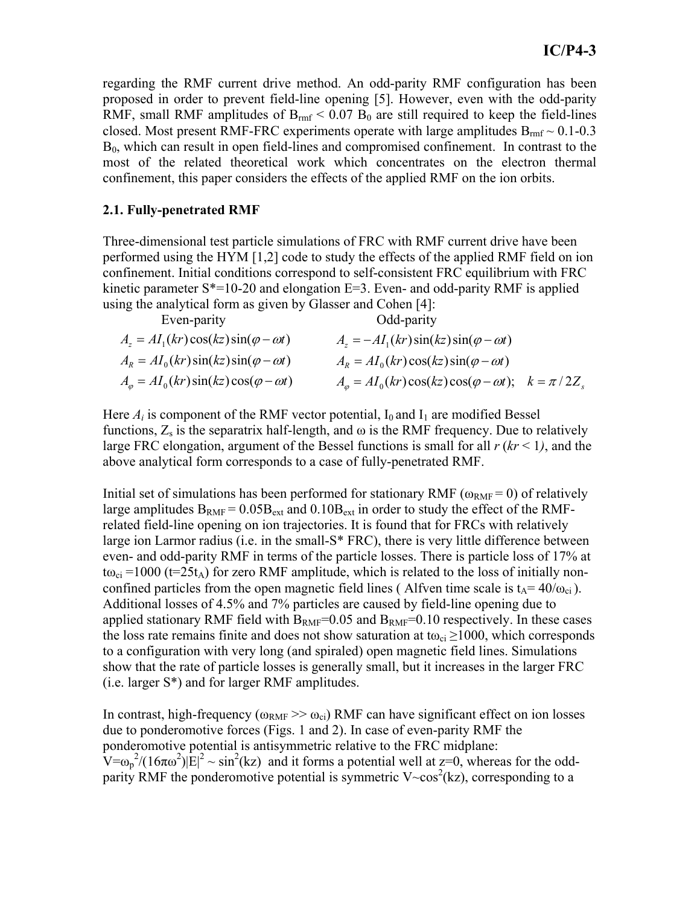regarding the RMF current drive method. An odd-parity RMF configuration has been proposed in order to prevent field-line opening [5]. However, even with the odd-parity RMF, small RMF amplitudes of  $B_{rm fr}$  < 0.07  $B_0$  are still required to keep the field-lines closed. Most present RMF-FRC experiments operate with large amplitudes  $B_{rm rm} \sim 0.1$ -0.3  $B<sub>0</sub>$ , which can result in open field-lines and compromised confinement. In contrast to the most of the related theoretical work which concentrates on the electron thermal confinement, this paper considers the effects of the applied RMF on the ion orbits.

### **2.1. Fully-penetrated RMF**

Three-dimensional test particle simulations of FRC with RMF current drive have been performed using the HYM [1,2] code to study the effects of the applied RMF field on ion confinement. Initial conditions correspond to self-consistent FRC equilibrium with FRC kinetic parameter  $S^*=10-20$  and elongation  $E=3$ . Even- and odd-parity RMF is applied using the analytical form as given by Glasser and Cohen [4]:

| Even-parity                                              | Odd-parity                                                                   |  |
|----------------------------------------------------------|------------------------------------------------------------------------------|--|
| $A_z = AI_1(kr)\cos(kz)\sin(\varphi - \omega t)$         | $A_z = -AI_1(kr)\sin(kz)\sin(\varphi - \omega t)$                            |  |
| $A_R = A I_0(kr) \sin(kz) \sin(\varphi - \omega t)$      | $A_R = A I_0(kr) \cos(kz) \sin(\varphi - \omega t)$                          |  |
| $A_{\varphi} = AI_0(kr)\sin(kz)\cos(\varphi - \omega t)$ | $A_{\varphi} = AI_0(kr)\cos(kz)\cos(\varphi - \omega t); \quad k = \pi/2Z_s$ |  |

Here  $A_i$  is component of the RMF vector potential,  $I_0$  and  $I_1$  are modified Bessel functions,  $Z_s$  is the separatrix half-length, and  $\omega$  is the RMF frequency. Due to relatively large FRC elongation, argument of the Bessel functions is small for all  $r (kr < 1)$ , and the above analytical form corresponds to a case of fully-penetrated RMF.

Initial set of simulations has been performed for stationary RMF ( $\omega_{RMF}$  = 0) of relatively large amplitudes  $B_{RMF} = 0.05B_{ext}$  and  $0.10B_{ext}$  in order to study the effect of the RMFrelated field-line opening on ion trajectories. It is found that for FRCs with relatively large ion Larmor radius (i.e. in the small-S\* FRC), there is very little difference between even- and odd-parity RMF in terms of the particle losses. There is particle loss of 17% at  $t\omega_{ci}$  =1000 (t=25t<sub>A</sub>) for zero RMF amplitude, which is related to the loss of initially nonconfined particles from the open magnetic field lines (Alfven time scale is  $t_A = 40/\omega_{ci}$ ). Additional losses of 4.5% and 7% particles are caused by field-line opening due to applied stationary RMF field with  $B_{RMF}=0.05$  and  $B_{RMF}=0.10$  respectively. In these cases the loss rate remains finite and does not show saturation at t $\omega_{ci} \ge 1000$ , which corresponds to a configuration with very long (and spiraled) open magnetic field lines. Simulations show that the rate of particle losses is generally small, but it increases in the larger FRC (i.e. larger S\*) and for larger RMF amplitudes.

In contrast, high-frequency ( $\omega_{RMF}$   $>>$   $\omega_{ci}$ ) RMF can have significant effect on ion losses due to ponderomotive forces (Figs. 1 and 2). In case of even-parity RMF the ponderomotive potential is antisymmetric relative to the FRC midplane:  $V = \omega_p^2/(16\pi\omega^2)|E|^2 \sim \sin^2(kz)$  and it forms a potential well at z=0, whereas for the oddparity RMF the ponderomotive potential is symmetric  $V \sim \cos^2(kz)$ , corresponding to a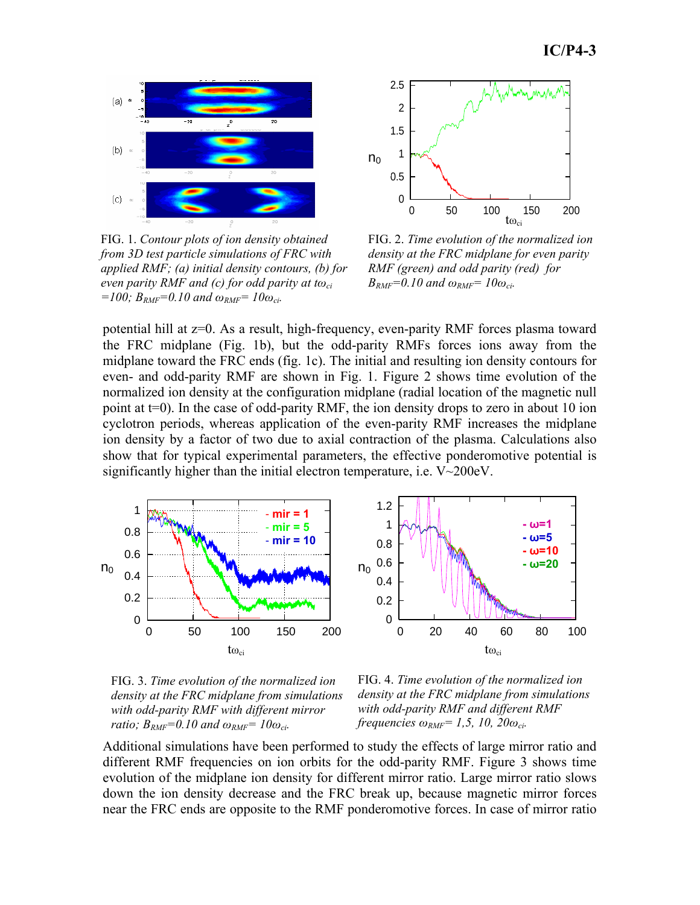

FIG. 1. *Contour plots of ion density obtained from 3D test particle simulations of FRC with applied RMF; (a) initial density contours, (b) for even parity RMF and (c) for odd parity at tωci =100; BRMF=0.10 and ωRMF= 10ωci.*



FIG. 2. *Time evolution of the normalized ion density at the FRC midplane for even parity RMF (green) and odd parity (red) for*   $B_{RMF} = 0.10$  and  $\omega_{RMF} = 10\omega_{ci}$ .

potential hill at z=0. As a result, high-frequency, even-parity RMF forces plasma toward the FRC midplane (Fig. 1b), but the odd-parity RMFs forces ions away from the midplane toward the FRC ends (fig. 1c). The initial and resulting ion density contours for even- and odd-parity RMF are shown in Fig. 1. Figure 2 shows time evolution of the normalized ion density at the configuration midplane (radial location of the magnetic null point at t=0). In the case of odd-parity RMF, the ion density drops to zero in about 10 ion cyclotron periods, whereas application of the even-parity RMF increases the midplane ion density by a factor of two due to axial contraction of the plasma. Calculations also show that for typical experimental parameters, the effective ponderomotive potential is significantly higher than the initial electron temperature, i.e. V~200eV.





FIG. 4. *Time evolution of the normalized ion density at the FRC midplane from simulations with odd-parity RMF and different RMF frequencies*  $\omega_{RMF} = 1.5$ , 10, 20 $\omega_{ci}$ .

Additional simulations have been performed to study the effects of large mirror ratio and different RMF frequencies on ion orbits for the odd-parity RMF. Figure 3 shows time evolution of the midplane ion density for different mirror ratio. Large mirror ratio slows down the ion density decrease and the FRC break up, because magnetic mirror forces near the FRC ends are opposite to the RMF ponderomotive forces. In case of mirror ratio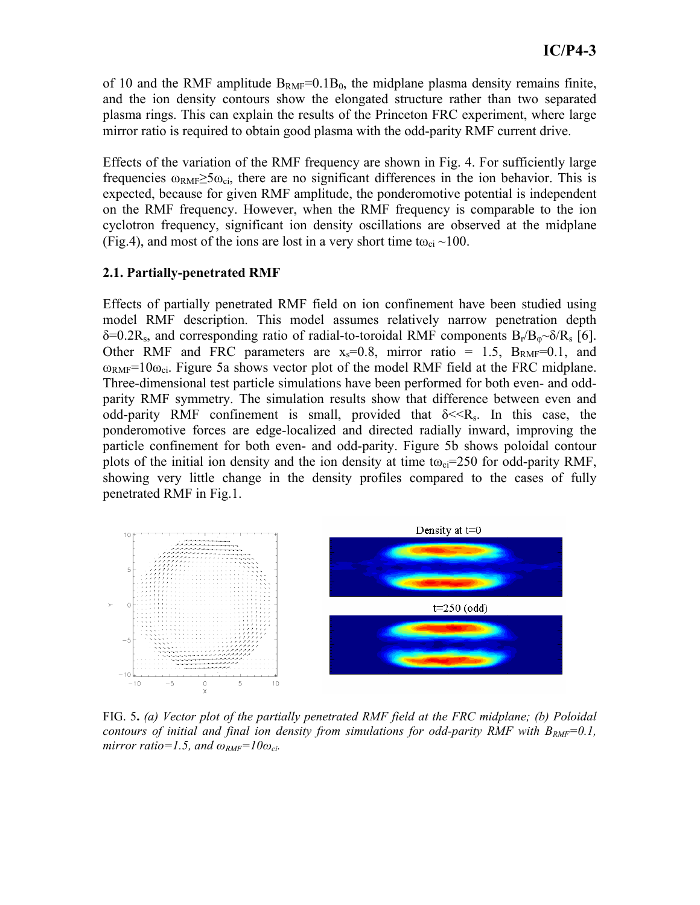of 10 and the RMF amplitude  $B_{RMF}=0.1B_0$ , the midplane plasma density remains finite, and the ion density contours show the elongated structure rather than two separated plasma rings. This can explain the results of the Princeton FRC experiment, where large mirror ratio is required to obtain good plasma with the odd-parity RMF current drive.

Effects of the variation of the RMF frequency are shown in Fig. 4. For sufficiently large frequencies  $\omega_{\text{RMF}} \ge 5\omega_{\text{ci}}$ , there are no significant differences in the ion behavior. This is expected, because for given RMF amplitude, the ponderomotive potential is independent on the RMF frequency. However, when the RMF frequency is comparable to the ion cyclotron frequency, significant ion density oscillations are observed at the midplane (Fig.4), and most of the ions are lost in a very short time t $\omega_{ci} \sim 100$ .

### **2.1. Partially-penetrated RMF**

Effects of partially penetrated RMF field on ion confinement have been studied using model RMF description. This model assumes relatively narrow penetration depth  $\delta = 0.2R_s$ , and corresponding ratio of radial-to-toroidal RMF components  $B_r/B_{\phi} \sim \delta/R_s$  [6]. Other RMF and FRC parameters are  $x_s=0.8$ , mirror ratio = 1.5,  $B_{RMF}=0.1$ , and  $\omega_{RMF}=10\omega_{ci}$ . Figure 5a shows vector plot of the model RMF field at the FRC midplane. Three-dimensional test particle simulations have been performed for both even- and oddparity RMF symmetry. The simulation results show that difference between even and odd-parity RMF confinement is small, provided that  $\delta \ll R_s$ . In this case, the ponderomotive forces are edge-localized and directed radially inward, improving the particle confinement for both even- and odd-parity. Figure 5b shows poloidal contour plots of the initial ion density and the ion density at time t $\omega_{ci}=250$  for odd-parity RMF, showing very little change in the density profiles compared to the cases of fully penetrated RMF in Fig.1.



FIG. 5**.** *(a) Vector plot of the partially penetrated RMF field at the FRC midplane; (b) Poloidal contours of initial and final ion density from simulations for odd-parity RMF with*  $B_{RMF}=0.1$ *, mirror ratio=1.5, and*  $\omega_{RMF} = 10\omega_{ci}$ *.*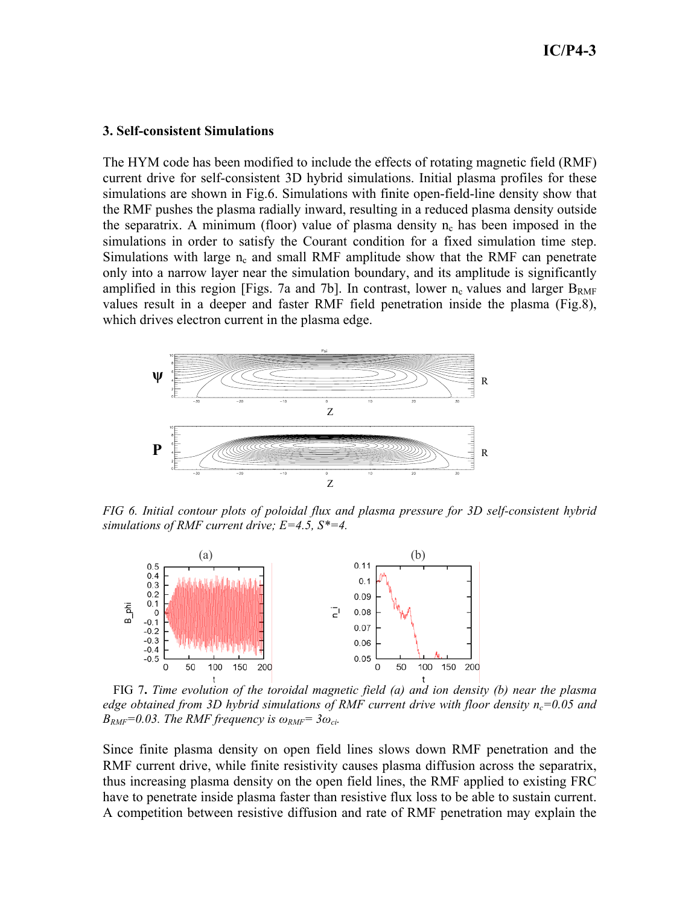#### **3. Self-consistent Simulations**

The HYM code has been modified to include the effects of rotating magnetic field (RMF) current drive for self-consistent 3D hybrid simulations. Initial plasma profiles for these simulations are shown in Fig.6. Simulations with finite open-field-line density show that the RMF pushes the plasma radially inward, resulting in a reduced plasma density outside the separatrix. A minimum (floor) value of plasma density  $n_c$  has been imposed in the simulations in order to satisfy the Courant condition for a fixed simulation time step. Simulations with large  $n_c$  and small RMF amplitude show that the RMF can penetrate only into a narrow layer near the simulation boundary, and its amplitude is significantly amplified in this region [Figs. 7a and 7b]. In contrast, lower  $n_c$  values and larger  $B_{RMF}$ values result in a deeper and faster RMF field penetration inside the plasma (Fig.8), which drives electron current in the plasma edge.



*FIG 6. Initial contour plots of poloidal flux and plasma pressure for 3D self-consistent hybrid simulations of RMF current drive; E=4.5, S\*=4.*



 FIG 7**.** *Time evolution of the toroidal magnetic field (a) and ion density (b) near the plasma edge obtained from 3D hybrid simulations of RMF current drive with floor density n<sub>c</sub>=0.05 and*  $B_{RMF}=0.03$ . The RMF frequency is  $\omega_{RMF}=3\omega_{ci}$ .

Since finite plasma density on open field lines slows down RMF penetration and the RMF current drive, while finite resistivity causes plasma diffusion across the separatrix, thus increasing plasma density on the open field lines, the RMF applied to existing FRC have to penetrate inside plasma faster than resistive flux loss to be able to sustain current. A competition between resistive diffusion and rate of RMF penetration may explain the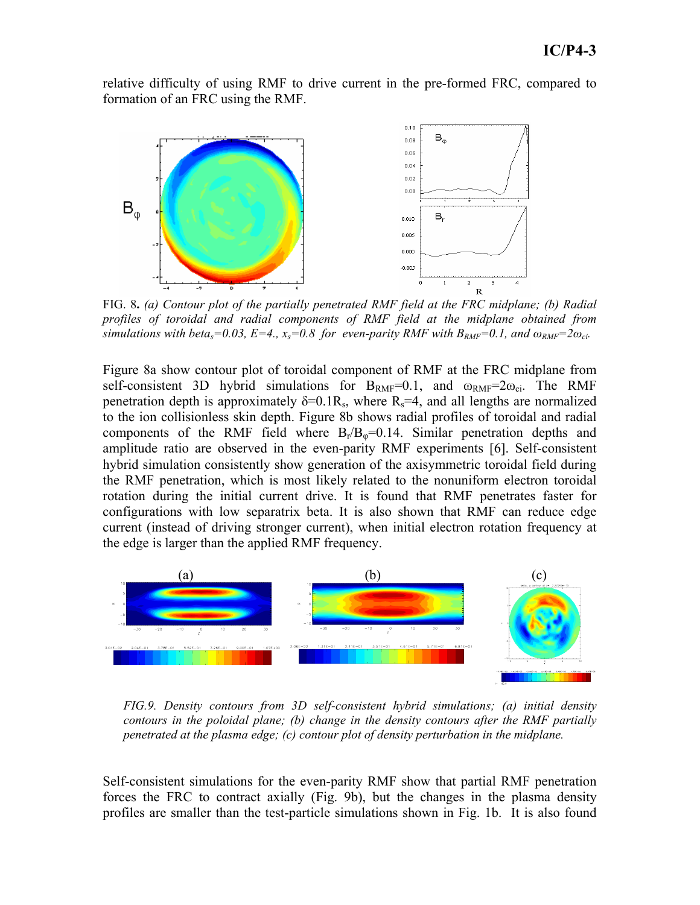relative difficulty of using RMF to drive current in the pre-formed FRC, compared to formation of an FRC using the RMF.



*profiles of toroidal and radial components of RMF field at the midplane obtained from simulations with beta<sub>s</sub>=0.03, E=4., x<sub>s</sub>=0.8 for even-parity RMF with*  $B_{RMF}=0.1$ *, and*  $\omega_{RMF}=2\omega_{ci}$ *.* 

Figure 8a show contour plot of toroidal component of RMF at the FRC midplane from self-consistent 3D hybrid simulations for  $B_{RMF}=0.1$ , and  $\omega_{RMF}=2\omega_{ci}$ . The RMF penetration depth is approximately  $\delta = 0.1R_s$ , where  $R_s = 4$ , and all lengths are normalized to the ion collisionless skin depth. Figure 8b shows radial profiles of toroidal and radial components of the RMF field where  $B_r/B_\phi=0.14$ . Similar penetration depths and amplitude ratio are observed in the even-parity RMF experiments [6]. Self-consistent hybrid simulation consistently show generation of the axisymmetric toroidal field during the RMF penetration, which is most likely related to the nonuniform electron toroidal rotation during the initial current drive. It is found that RMF penetrates faster for configurations with low separatrix beta. It is also shown that RMF can reduce edge current (instead of driving stronger current), when initial electron rotation frequency at the edge is larger than the applied RMF frequency.



*FIG.9. Density contours from 3D self-consistent hybrid simulations; (a) initial density contours in the poloidal plane; (b) change in the density contours after the RMF partially penetrated at the plasma edge; (c) contour plot of density perturbation in the midplane.* 

Self-consistent simulations for the even-parity RMF show that partial RMF penetration forces the FRC to contract axially (Fig. 9b), but the changes in the plasma density profiles are smaller than the test-particle simulations shown in Fig. 1b. It is also found